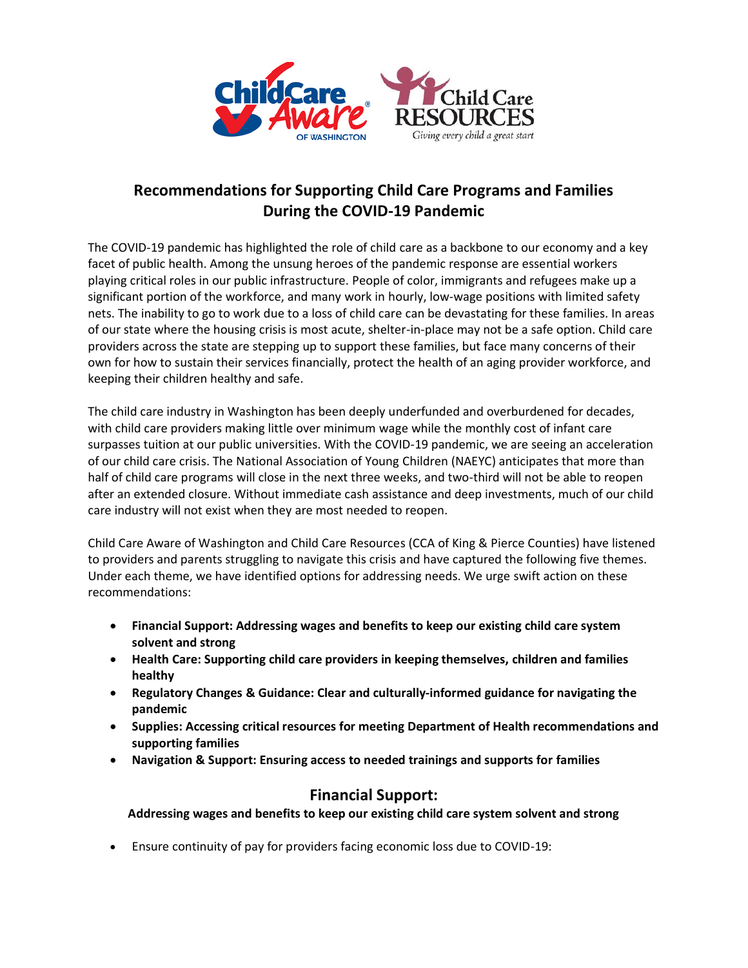

# **Recommendations for Supporting Child Care Programs and Families During the COVID-19 Pandemic**

The COVID-19 pandemic has highlighted the role of child care as a backbone to our economy and a key facet of public health. Among the unsung heroes of the pandemic response are essential workers playing critical roles in our public infrastructure. People of color, immigrants and refugees make up a significant portion of the workforce, and many work in hourly, low-wage positions with limited safety nets. The inability to go to work due to a loss of child care can be devastating for these families. In areas of our state where the housing crisis is most acute, shelter-in-place may not be a safe option. Child care providers across the state are stepping up to support these families, but face many concerns of their own for how to sustain their services financially, protect the health of an aging provider workforce, and keeping their children healthy and safe.

The child care industry in Washington has been deeply underfunded and overburdened for decades, with child care providers making little over minimum wage while the monthly cost of infant care surpasses tuition at our public universities. With the COVID-19 pandemic, we are seeing an acceleration of our child care crisis. The National Association of Young Children (NAEYC) anticipates that more than half of child care programs will close in the next three weeks, and two-third will not be able to reopen after an extended closure. Without immediate cash assistance and deep investments, much of our child care industry will not exist when they are most needed to reopen.

Child Care Aware of Washington and Child Care Resources (CCA of King & Pierce Counties) have listened to providers and parents struggling to navigate this crisis and have captured the following five themes. Under each theme, we have identified options for addressing needs. We urge swift action on these recommendations:

- **Financial Support: Addressing wages and benefits to keep our existing child care system solvent and strong**
- **Health Care: Supporting child care providers in keeping themselves, children and families healthy**
- **Regulatory Changes & Guidance: Clear and culturally-informed guidance for navigating the pandemic**
- **Supplies: Accessing critical resources for meeting Department of Health recommendations and supporting families**
- **Navigation & Support: Ensuring access to needed trainings and supports for families**

### **Financial Support:**

**Addressing wages and benefits to keep our existing child care system solvent and strong**

• Ensure continuity of pay for providers facing economic loss due to COVID-19: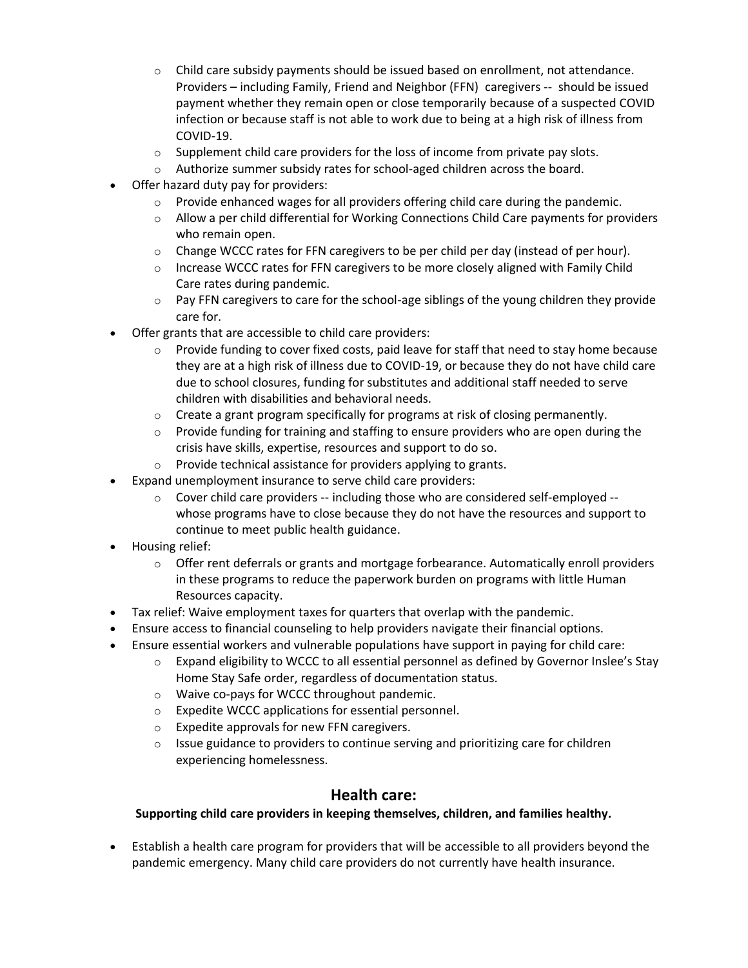- $\circ$  Child care subsidy payments should be issued based on enrollment, not attendance. Providers – including Family, Friend and Neighbor (FFN) caregivers -- should be issued payment whether they remain open or close temporarily because of a suspected COVID infection or because staff is not able to work due to being at a high risk of illness from COVID-19.
- $\circ$  Supplement child care providers for the loss of income from private pay slots.
- $\circ$  Authorize summer subsidy rates for school-aged children across the board.
- Offer hazard duty pay for providers:
	- $\circ$  Provide enhanced wages for all providers offering child care during the pandemic.
	- $\circ$  Allow a per child differential for Working Connections Child Care payments for providers who remain open.
	- $\circ$  Change WCCC rates for FFN caregivers to be per child per day (instead of per hour).
	- $\circ$  Increase WCCC rates for FFN caregivers to be more closely aligned with Family Child Care rates during pandemic.
	- o Pay FFN caregivers to care for the school-age siblings of the young children they provide care for.
- Offer grants that are accessible to child care providers:
	- o Provide funding to cover fixed costs, paid leave for staff that need to stay home because they are at a high risk of illness due to COVID-19, or because they do not have child care due to school closures, funding for substitutes and additional staff needed to serve children with disabilities and behavioral needs.
	- $\circ$  Create a grant program specifically for programs at risk of closing permanently.
	- $\circ$  Provide funding for training and staffing to ensure providers who are open during the crisis have skills, expertise, resources and support to do so.
	- o Provide technical assistance for providers applying to grants.
- Expand unemployment insurance to serve child care providers:
	- $\circ$  Cover child care providers -- including those who are considered self-employed -whose programs have to close because they do not have the resources and support to continue to meet public health guidance.
- Housing relief:
	- $\circ$  Offer rent deferrals or grants and mortgage forbearance. Automatically enroll providers in these programs to reduce the paperwork burden on programs with little Human Resources capacity.
- Tax relief: Waive employment taxes for quarters that overlap with the pandemic.
- Ensure access to financial counseling to help providers navigate their financial options.
- Ensure essential workers and vulnerable populations have support in paying for child care:
	- $\circ$  Expand eligibility to WCCC to all essential personnel as defined by Governor Inslee's Stay Home Stay Safe order, regardless of documentation status.
	- o Waive co-pays for WCCC throughout pandemic.
	- o Expedite WCCC applications for essential personnel.
	- o Expedite approvals for new FFN caregivers.
	- $\circ$  Issue guidance to providers to continue serving and prioritizing care for children experiencing homelessness.

### **Health care:**

#### **Supporting child care providers in keeping themselves, children, and families healthy.**

• Establish a health care program for providers that will be accessible to all providers beyond the pandemic emergency. Many child care providers do not currently have health insurance.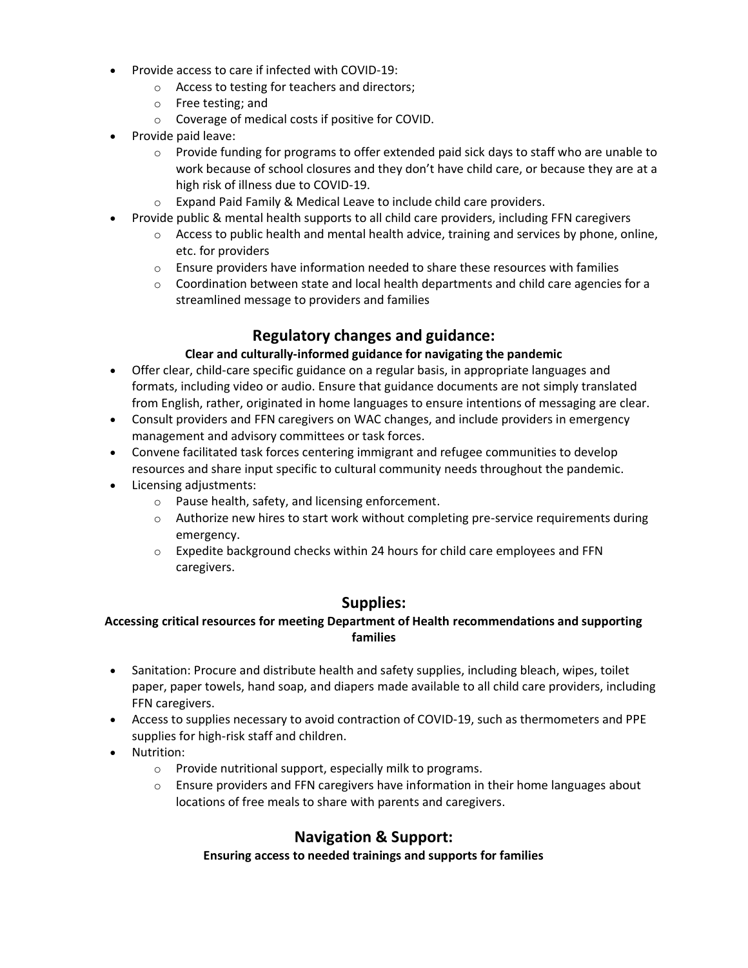- Provide access to care if infected with COVID-19:
	- o Access to testing for teachers and directors;
	- o Free testing; and
	- o Coverage of medical costs if positive for COVID.
- Provide paid leave:
	- $\circ$  Provide funding for programs to offer extended paid sick days to staff who are unable to work because of school closures and they don't have child care, or because they are at a high risk of illness due to COVID-19.
	- o Expand Paid Family & Medical Leave to include child care providers.
- Provide public & mental health supports to all child care providers, including FFN caregivers
	- $\circ$  Access to public health and mental health advice, training and services by phone, online, etc. for providers
	- $\circ$  Ensure providers have information needed to share these resources with families
	- $\circ$  Coordination between state and local health departments and child care agencies for a streamlined message to providers and families

### **Regulatory changes and guidance:**

#### **Clear and culturally-informed guidance for navigating the pandemic**

- Offer clear, child-care specific guidance on a regular basis, in appropriate languages and formats, including video or audio. Ensure that guidance documents are not simply translated from English, rather, originated in home languages to ensure intentions of messaging are clear.
- Consult providers and FFN caregivers on WAC changes, and include providers in emergency management and advisory committees or task forces.
- Convene facilitated task forces centering immigrant and refugee communities to develop resources and share input specific to cultural community needs throughout the pandemic.
- Licensing adjustments:
	- o Pause health, safety, and licensing enforcement.
	- $\circ$  Authorize new hires to start work without completing pre-service requirements during emergency.
	- o Expedite background checks within 24 hours for child care employees and FFN caregivers.

### **Supplies:**

#### **Accessing critical resources for meeting Department of Health recommendations and supporting families**

- Sanitation: Procure and distribute health and safety supplies, including bleach, wipes, toilet paper, paper towels, hand soap, and diapers made available to all child care providers, including FFN caregivers.
- Access to supplies necessary to avoid contraction of COVID-19, such as thermometers and PPE supplies for high-risk staff and children.
- Nutrition:
	- o Provide nutritional support, especially milk to programs.
	- $\circ$  Ensure providers and FFN caregivers have information in their home languages about locations of free meals to share with parents and caregivers.

## **Navigation & Support:**

#### **Ensuring access to needed trainings and supports for families**